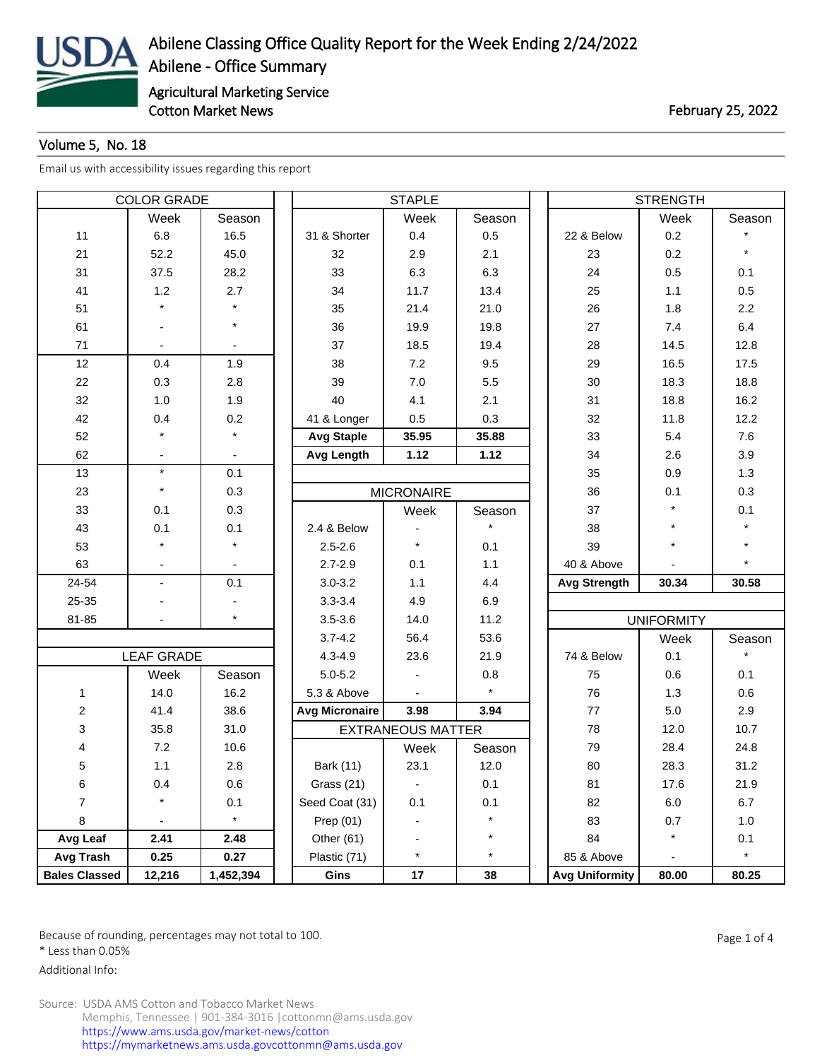

## Volume 5, No. 18

[Email us with accessibility issues regarding this report](mailto:mars@ams.usda.gov)

| <b>COLOR GRADE</b>      |                          |           |                       | <b>STAPLE</b>            |         | <b>STRENGTH</b>       |                   |         |  |
|-------------------------|--------------------------|-----------|-----------------------|--------------------------|---------|-----------------------|-------------------|---------|--|
|                         | Week                     | Season    |                       | Week                     | Season  |                       | Week              | Season  |  |
| 11                      | 6.8                      | 16.5      | 31 & Shorter          | 0.4                      | 0.5     | 22 & Below            | 0.2               |         |  |
| 21                      | 52.2                     | 45.0      | 32                    | 2.9                      | 2.1     | 23                    | 0.2               | $\star$ |  |
| 31                      | 37.5                     | 28.2      | 33                    | 6.3                      | 6.3     | 24                    | 0.5               | 0.1     |  |
| 41                      | 1.2                      | 2.7       | 34                    | 11.7                     | 13.4    | 25                    | $1.1$             | 0.5     |  |
| 51                      |                          |           | 35                    | 21.4                     | 21.0    | 26                    | 1.8               | 2.2     |  |
| 61                      |                          | $\star$   | 36                    | 19.9                     | 19.8    | 27                    | 7.4               | 6.4     |  |
| 71                      |                          |           | 37                    | 18.5                     | 19.4    | 28                    | 14.5              | 12.8    |  |
| 12                      | 0.4                      | 1.9       | 38                    | 7.2                      | 9.5     | 29                    | 16.5              | 17.5    |  |
| 22                      | 0.3                      | 2.8       | 39                    | $7.0$                    | 5.5     | 30                    | 18.3              | 18.8    |  |
| 32                      | 1.0                      | 1.9       | 40                    | 4.1                      | 2.1     | 31                    | 18.8              | 16.2    |  |
| 42                      | 0.4                      | 0.2       | 41 & Longer           | 0.5                      | 0.3     | 32                    | 11.8              | 12.2    |  |
| 52                      |                          | $\star$   | <b>Avg Staple</b>     | 35.95                    | 35.88   | 33                    | 5.4               | 7.6     |  |
| 62                      |                          |           | <b>Avg Length</b>     | 1.12                     | 1.12    | 34                    | 2.6               | 3.9     |  |
| 13                      | $\star$                  | 0.1       |                       |                          |         | 35                    | 0.9               | 1.3     |  |
| 23                      | $\star$                  | 0.3       |                       | <b>MICRONAIRE</b>        |         | 36                    | 0.1               | 0.3     |  |
| 33                      | 0.1                      | 0.3       |                       | Week                     | Season  | 37                    | $\star$           | 0.1     |  |
| 43                      | 0.1                      | 0.1       | 2.4 & Below           |                          |         | 38                    | $\star$           |         |  |
| 53                      |                          |           | $2.5 - 2.6$           | $\star$                  | 0.1     | 39                    | $\star$           |         |  |
| 63                      |                          |           | $2.7 - 2.9$           | 0.1                      | 1.1     | 40 & Above            |                   |         |  |
| 24-54                   | $\blacksquare$           | 0.1       | $3.0 - 3.2$           | 1.1                      | 4.4     | <b>Avg Strength</b>   | 30.34             | 30.58   |  |
| 25-35                   |                          |           | $3.3 - 3.4$           | 4.9                      | 6.9     |                       |                   |         |  |
| 81-85                   |                          | $\star$   | $3.5 - 3.6$           | 14.0                     | 11.2    |                       | <b>UNIFORMITY</b> |         |  |
|                         |                          |           | $3.7 - 4.2$           | 56.4                     | 53.6    |                       | Week              | Season  |  |
|                         | <b>LEAF GRADE</b>        |           | $4.3 - 4.9$           | 23.6                     | 21.9    | 74 & Below            | 0.1               |         |  |
|                         | Week                     | Season    | $5.0 - 5.2$           |                          | 0.8     | 75                    | 0.6               | 0.1     |  |
| $\mathbf{1}$            | 14.0                     | 16.2      | 5.3 & Above           |                          | $\star$ | 76                    | 1.3               | 0.6     |  |
| $\overline{\mathbf{c}}$ | 41.4                     | 38.6      | <b>Avg Micronaire</b> | 3.98                     | 3.94    | 77                    | 5.0               | 2.9     |  |
| 3                       | 35.8                     | 31.0      |                       | <b>EXTRANEOUS MATTER</b> |         | 78                    | 12.0              | 10.7    |  |
| 4                       | 7.2                      | 10.6      |                       | Week                     | Season  | 79                    | 28.4              | 24.8    |  |
| 5                       | 1.1                      | 2.8       | Bark (11)             | 23.1                     | 12.0    | 80                    | 28.3              | 31.2    |  |
| 6                       | 0.4                      | 0.6       | Grass (21)            |                          | 0.1     | 81                    | 17.6              | 21.9    |  |
| $\overline{7}$          | $\star$                  | 0.1       | Seed Coat (31)        | 0.1                      | 0.1     | 82                    | 6.0               | 6.7     |  |
| 8                       | $\overline{\phantom{a}}$ | $\star$   | Prep $(01)$           |                          | $\star$ | 83                    | 0.7               | 1.0     |  |
| Avg Leaf                | 2.41                     | 2.48      | Other (61)            |                          | $\star$ | 84                    | $\star$           | 0.1     |  |
| Avg Trash               | 0.25                     | 0.27      | Plastic (71)          | $\star$                  | $\star$ | 85 & Above            |                   | $\star$ |  |
| <b>Bales Classed</b>    | 12,216                   | 1,452,394 | Gins                  | 17                       | 38      | <b>Avg Uniformity</b> | 80.00             | 80.25   |  |

Because of rounding, percentages may not total to 100. And the set of the set of 4 and the Page 1 of 4

\* Less than 0.05%

Additional Info: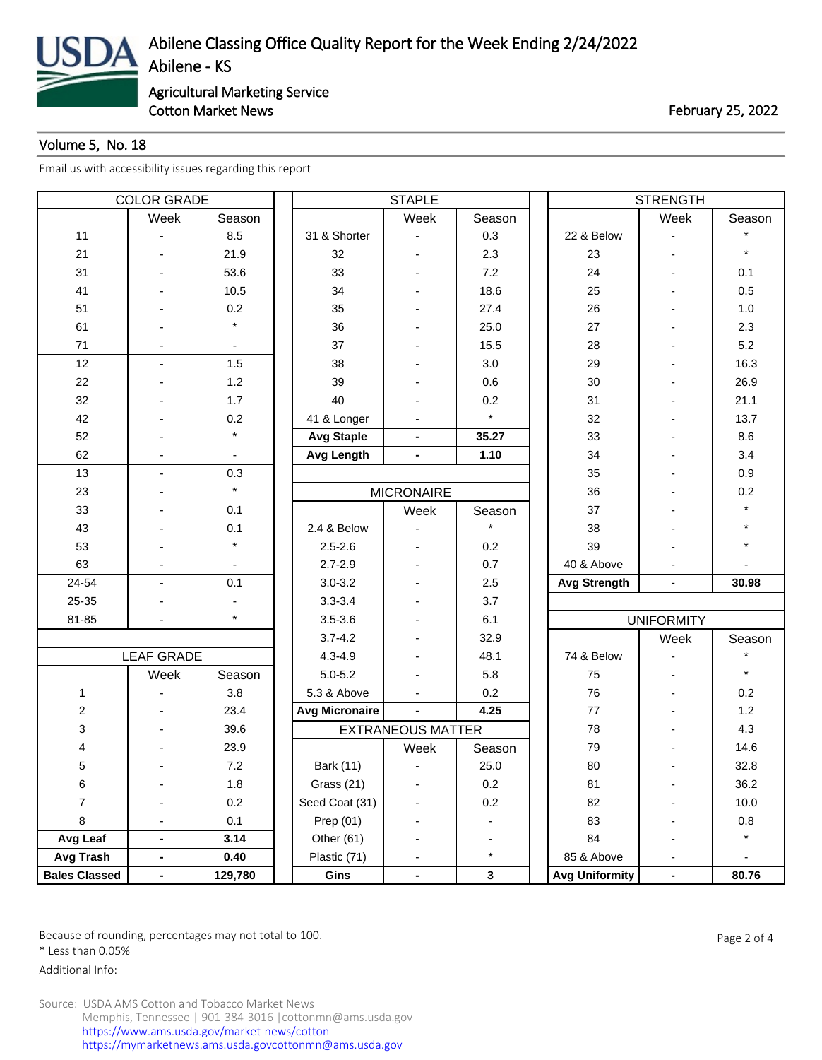

Cotton Market News **February 25, 2022** 

## Volume 5, No. 18

[Email us with accessibility issues regarding this report](mailto:mars@ams.usda.gov)

| <b>COLOR GRADE</b>   |                   |                | <b>STAPLE</b>         |                          |              |  | <b>STRENGTH</b>       |                          |         |  |
|----------------------|-------------------|----------------|-----------------------|--------------------------|--------------|--|-----------------------|--------------------------|---------|--|
|                      | Week              | Season         |                       | Week                     | Season       |  |                       | Week                     | Season  |  |
| 11                   |                   | 8.5            | 31 & Shorter          |                          | 0.3          |  | 22 & Below            |                          |         |  |
| 21                   |                   | 21.9           | 32                    |                          | 2.3          |  | 23                    | $\overline{\phantom{0}}$ |         |  |
| 31                   |                   | 53.6           | 33                    |                          | 7.2          |  | 24                    |                          | 0.1     |  |
| 41                   |                   | 10.5           | 34                    |                          | 18.6         |  | 25                    |                          | 0.5     |  |
| 51                   |                   | 0.2            | 35                    |                          | 27.4         |  | 26                    |                          | 1.0     |  |
| 61                   |                   | $\star$        | 36                    |                          | 25.0         |  | 27                    |                          | 2.3     |  |
| 71                   |                   | $\blacksquare$ | 37                    |                          | 15.5         |  | 28                    |                          | 5.2     |  |
| 12                   | $\sim$            | 1.5            | 38                    |                          | 3.0          |  | 29                    |                          | 16.3    |  |
| 22                   |                   | 1.2            | 39                    |                          | 0.6          |  | 30                    |                          | 26.9    |  |
| 32                   |                   | 1.7            | 40                    |                          | 0.2          |  | 31                    |                          | 21.1    |  |
| 42                   |                   | 0.2            | 41 & Longer           |                          | $\star$      |  | 32                    |                          | 13.7    |  |
| 52                   |                   | $\star$        | <b>Avg Staple</b>     | $\blacksquare$           | 35.27        |  | 33                    |                          | 8.6     |  |
| 62                   |                   |                | <b>Avg Length</b>     | $\overline{\phantom{a}}$ | 1.10         |  | 34                    |                          | 3.4     |  |
| 13                   |                   | 0.3            |                       |                          |              |  | 35                    |                          | 0.9     |  |
| 23                   |                   | $\star$        |                       | <b>MICRONAIRE</b>        |              |  | 36                    |                          | 0.2     |  |
| 33                   |                   | 0.1            |                       | Week                     | Season       |  | 37                    |                          |         |  |
| 43                   |                   | 0.1            | 2.4 & Below           |                          |              |  | 38                    |                          |         |  |
| 53                   |                   | $\star$        | $2.5 - 2.6$           |                          | 0.2          |  | 39                    |                          |         |  |
| 63                   |                   |                | $2.7 - 2.9$           |                          | 0.7          |  | 40 & Above            |                          |         |  |
| 24-54                | $\overline{a}$    | 0.1            | $3.0 - 3.2$           |                          | 2.5          |  | <b>Avg Strength</b>   | ÷,                       | 30.98   |  |
| 25-35                |                   |                | $3.3 - 3.4$           |                          | 3.7          |  |                       |                          |         |  |
| 81-85                |                   | $\star$        | $3.5 - 3.6$           |                          | 6.1          |  |                       | <b>UNIFORMITY</b>        |         |  |
|                      |                   |                | $3.7 - 4.2$           |                          | 32.9         |  |                       | Week                     | Season  |  |
|                      | <b>LEAF GRADE</b> |                | $4.3 - 4.9$           |                          | 48.1         |  | 74 & Below            |                          |         |  |
|                      | Week              | Season         | $5.0 - 5.2$           |                          | 5.8          |  | 75                    |                          |         |  |
| $\mathbf{1}$         |                   | 3.8            | 5.3 & Above           |                          | 0.2          |  | 76                    |                          | 0.2     |  |
| $\boldsymbol{2}$     |                   | 23.4           | <b>Avg Micronaire</b> | $\blacksquare$           | 4.25         |  | 77                    |                          | 1.2     |  |
| 3                    |                   | 39.6           |                       | <b>EXTRANEOUS MATTER</b> |              |  | 78                    |                          | 4.3     |  |
| 4                    |                   | 23.9           |                       | Week                     | Season       |  | 79                    |                          | 14.6    |  |
| 5                    |                   | 7.2            | Bark (11)             |                          | 25.0         |  | 80                    |                          | 32.8    |  |
| 6                    |                   | 1.8            | Grass (21)            |                          | 0.2          |  | 81                    |                          | 36.2    |  |
| $\overline{7}$       |                   | 0.2            | Seed Coat (31)        |                          | 0.2          |  | 82                    |                          | 10.0    |  |
| 8                    |                   | 0.1            | Prep $(01)$           |                          |              |  | 83                    | -                        | $0.8\,$ |  |
| Avg Leaf             | $\blacksquare$    | 3.14           | Other (61)            |                          |              |  | 84                    | -                        | $\star$ |  |
| Avg Trash            | $\blacksquare$    | 0.40           | Plastic (71)          |                          | $\star$      |  | 85 & Above            |                          |         |  |
| <b>Bales Classed</b> | ٠                 | 129,780        | Gins                  | ۰                        | $\mathbf{3}$ |  | <b>Avg Uniformity</b> | $\blacksquare$           | 80.76   |  |

Because of rounding, percentages may not total to 100. And the set of the set of 4 and 2 of 4 \* Less than 0.05%

Additional Info: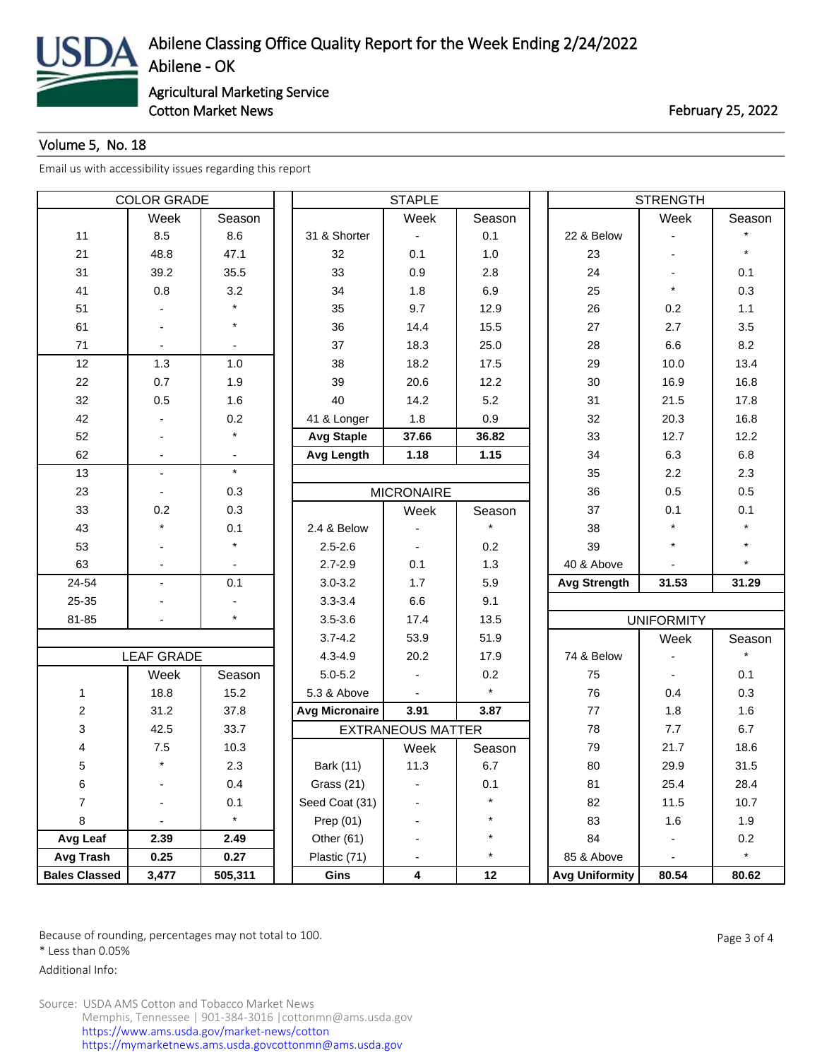

Cotton Market News **February 25, 2022** 

## Volume 5, No. 18

[Email us with accessibility issues regarding this report](mailto:mars@ams.usda.gov)

| <b>COLOR GRADE</b>      |                   |         | <b>STAPLE</b>         |                          |          |  | <b>STRENGTH</b>       |                   |         |  |
|-------------------------|-------------------|---------|-----------------------|--------------------------|----------|--|-----------------------|-------------------|---------|--|
|                         | Week              | Season  |                       | Week                     | Season   |  |                       | Week              | Season  |  |
| 11                      | 8.5               | 8.6     | 31 & Shorter          |                          | 0.1      |  | 22 & Below            |                   |         |  |
| 21                      | 48.8              | 47.1    | 32                    | 0.1                      | 1.0      |  | 23                    |                   | $\star$ |  |
| 31                      | 39.2              | 35.5    | 33                    | 0.9                      | 2.8      |  | 24                    |                   | 0.1     |  |
| 41                      | 0.8               | 3.2     | 34                    | 1.8                      | 6.9      |  | 25                    | $\star$           | 0.3     |  |
| 51                      |                   |         | 35                    | 9.7                      | 12.9     |  | 26                    | 0.2               | 1.1     |  |
| 61                      |                   | $\star$ | 36                    | 14.4                     | 15.5     |  | 27                    | 2.7               | 3.5     |  |
| 71                      |                   |         | 37                    | 18.3                     | 25.0     |  | 28                    | 6.6               | 8.2     |  |
| 12                      | 1.3               | $1.0$   | 38                    | 18.2                     | 17.5     |  | 29                    | 10.0              | 13.4    |  |
| 22                      | 0.7               | 1.9     | 39                    | 20.6                     | 12.2     |  | 30                    | 16.9              | 16.8    |  |
| 32                      | 0.5               | 1.6     | 40                    | 14.2                     | 5.2      |  | 31                    | 21.5              | 17.8    |  |
| 42                      |                   | 0.2     | 41 & Longer           | 1.8                      | 0.9      |  | 32                    | 20.3              | 16.8    |  |
| 52                      |                   | $\star$ | <b>Avg Staple</b>     | 37.66                    | 36.82    |  | 33                    | 12.7              | 12.2    |  |
| 62                      |                   |         | Avg Length            | 1.18                     | 1.15     |  | 34                    | 6.3               | 6.8     |  |
| 13                      | $\blacksquare$    | $\star$ |                       |                          |          |  | 35                    | 2.2               | 2.3     |  |
| 23                      |                   | 0.3     |                       | <b>MICRONAIRE</b>        |          |  | 36                    | 0.5               | $0.5\,$ |  |
| 33                      | 0.2               | 0.3     |                       | Week                     | Season   |  | 37                    | 0.1               | 0.1     |  |
| 43                      |                   | 0.1     | 2.4 & Below           |                          |          |  | 38                    |                   |         |  |
| 53                      |                   |         | $2.5 - 2.6$           |                          | 0.2      |  | 39                    | $\star$           |         |  |
| 63                      |                   |         | $2.7 - 2.9$           | 0.1                      | 1.3      |  | 40 & Above            |                   |         |  |
| 24-54                   | $\blacksquare$    | 0.1     | $3.0 - 3.2$           | 1.7                      | 5.9      |  | <b>Avg Strength</b>   | 31.53             | 31.29   |  |
| 25-35                   |                   |         | $3.3 - 3.4$           | 6.6                      | 9.1      |  |                       |                   |         |  |
| 81-85                   |                   | $\star$ | $3.5 - 3.6$           | 17.4                     | 13.5     |  |                       | <b>UNIFORMITY</b> |         |  |
|                         |                   |         | $3.7 - 4.2$           | 53.9                     | 51.9     |  |                       | Week              | Season  |  |
|                         | <b>LEAF GRADE</b> |         | $4.3 - 4.9$           | 20.2                     | 17.9     |  | 74 & Below            |                   |         |  |
|                         | Week              | Season  | $5.0 - 5.2$           |                          | 0.2      |  | 75                    |                   | 0.1     |  |
| $\mathbf{1}$            | 18.8              | 15.2    | 5.3 & Above           |                          | $\star$  |  | 76                    | 0.4               | 0.3     |  |
| $\overline{\mathbf{c}}$ | 31.2              | 37.8    | <b>Avg Micronaire</b> | 3.91                     | 3.87     |  | 77                    | 1.8               | 1.6     |  |
| 3                       | 42.5              | 33.7    |                       | <b>EXTRANEOUS MATTER</b> |          |  | 78                    | 7.7               | 6.7     |  |
| 4                       | $7.5\,$           | 10.3    |                       | Week                     | Season   |  | 79                    | 21.7              | 18.6    |  |
| 5                       | $\star$           | 2.3     | Bark (11)             | 11.3                     | 6.7      |  | 80                    | 29.9              | 31.5    |  |
| 6                       |                   | 0.4     | Grass (21)            |                          | 0.1      |  | 81                    | 25.4              | 28.4    |  |
| $\overline{7}$          |                   | 0.1     | Seed Coat (31)        |                          | $\star$  |  | 82                    | 11.5              | 10.7    |  |
| 8                       |                   | $\star$ | Prep $(01)$           |                          | $^\star$ |  | 83                    | 1.6               | 1.9     |  |
| Avg Leaf                | 2.39              | 2.49    | Other (61)            |                          | $\star$  |  | 84                    |                   | 0.2     |  |
| Avg Trash               | 0.25              | 0.27    | Plastic (71)          |                          | $\star$  |  | 85 & Above            |                   | $\star$ |  |
| <b>Bales Classed</b>    | 3,477             | 505,311 | Gins                  | 4                        | 12       |  | <b>Avg Uniformity</b> | 80.54             | 80.62   |  |

Because of rounding, percentages may not total to 100. And the set of the set of the Page 3 of 4

\* Less than 0.05%

Additional Info: